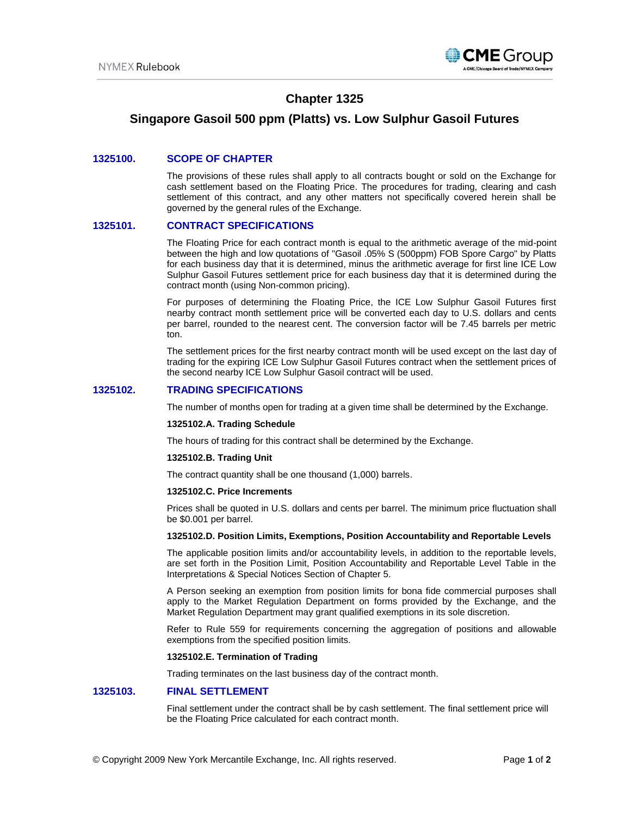

# **Chapter 1325**

## **Singapore Gasoil 500 ppm (Platts) vs. Low Sulphur Gasoil Futures**

## **1325100. SCOPE OF CHAPTER**

The provisions of these rules shall apply to all contracts bought or sold on the Exchange for cash settlement based on the Floating Price. The procedures for trading, clearing and cash settlement of this contract, and any other matters not specifically covered herein shall be governed by the general rules of the Exchange.

## **1325101. CONTRACT SPECIFICATIONS**

The Floating Price for each contract month is equal to the arithmetic average of the mid-point between the high and low quotations of "Gasoil .05% S (500ppm) FOB Spore Cargo" by Platts for each business day that it is determined, minus the arithmetic average for first line ICE Low Sulphur Gasoil Futures settlement price for each business day that it is determined during the contract month (using Non-common pricing).

For purposes of determining the Floating Price, the ICE Low Sulphur Gasoil Futures first nearby contract month settlement price will be converted each day to U.S. dollars and cents per barrel, rounded to the nearest cent. The conversion factor will be 7.45 barrels per metric ton.

The settlement prices for the first nearby contract month will be used except on the last day of trading for the expiring ICE Low Sulphur Gasoil Futures contract when the settlement prices of the second nearby ICE Low Sulphur Gasoil contract will be used.

## **1325102. TRADING SPECIFICATIONS**

The number of months open for trading at a given time shall be determined by the Exchange.

#### **1325102.A. Trading Schedule**

The hours of trading for this contract shall be determined by the Exchange.

#### **1325102.B. Trading Unit**

The contract quantity shall be one thousand (1,000) barrels.

#### **1325102.C. Price Increments**

Prices shall be quoted in U.S. dollars and cents per barrel. The minimum price fluctuation shall be \$0.001 per barrel.

#### **1325102.D. Position Limits, Exemptions, Position Accountability and Reportable Levels**

The applicable position limits and/or accountability levels, in addition to the reportable levels, are set forth in the Position Limit, Position Accountability and Reportable Level Table in the Interpretations & Special Notices Section of Chapter 5.

A Person seeking an exemption from position limits for bona fide commercial purposes shall apply to the Market Regulation Department on forms provided by the Exchange, and the Market Regulation Department may grant qualified exemptions in its sole discretion.

Refer to Rule 559 for requirements concerning the aggregation of positions and allowable exemptions from the specified position limits.

#### **1325102.E. Termination of Trading**

Trading terminates on the last business day of the contract month.

### **1325103. FINAL SETTLEMENT**

Final settlement under the contract shall be by cash settlement. The final settlement price will be the Floating Price calculated for each contract month.